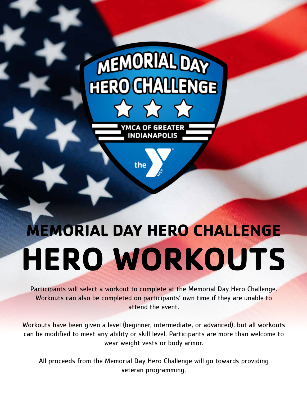# MEMORIAL DAY **HERO GYALLET**

YMCA OF GREATER **INDIANAPOLIS** 

the



Participants will select a workout to complete at the Memorial Day Hero Challenge. Workouts can also be completed on participants' own time if they are unable to attend the event.

Workouts have been given a level (beginner, intermediate, or advanced), but all workouts can be modified to meet any ability or skill level. Participants are more than welcome to wear weight vests or body armor.

All proceeds from the Memorial Day Hero Challenge will go towards providing veteran programming.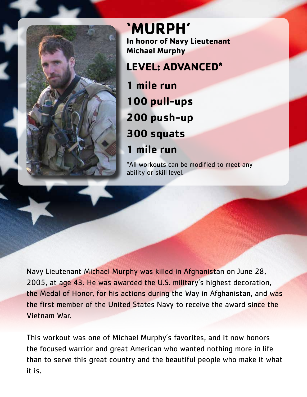

**'MURPH' In honor of Navy Lieutenant Michael Murphy**

**LEVEL: ADVANCED\***

**1 mile run 100 pull-ups 200 push-up 300 squats 1 mile run**

\*All workouts can be modified to meet any ability or skill level.

Navy Lieutenant Michael Murphy was killed in Afghanistan on June 28, 2005, at age 43. He was awarded the U.S. military's highest decoration, the Medal of Honor, for his actions during the Way in Afghanistan, and was the first member of the United States Navy to receive the award since the Vietnam War.

This workout was one of Michael Murphy's favorites, and it now honors the focused warrior and great American who wanted nothing more in life than to serve this great country and the beautiful people who make it what it is.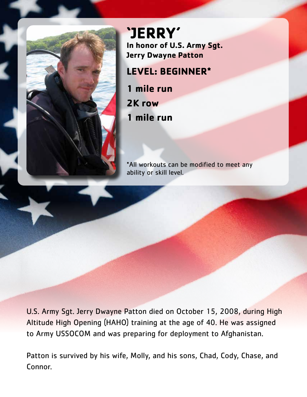

**'JERRY' In honor of U.S. Army Sgt. Jerry Dwayne Patton**

### **LEVEL: BEGINNER\***

**1 mile run 2K row**

**1 mile run**

\*All workouts can be modified to meet any ability or skill level.

U.S. Army Sgt. Jerry Dwayne Patton died on October 15, 2008, during High Altitude High Opening (HAHO) training at the age of 40. He was assigned to Army USSOCOM and was preparing for deployment to Afghanistan.

Patton is survived by his wife, Molly, and his sons, Chad, Cody, Chase, and Connor.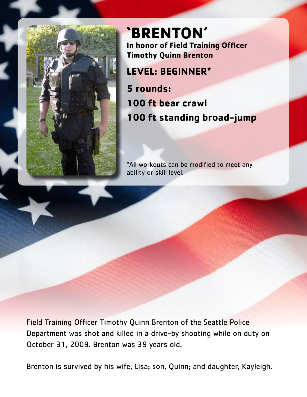

**'BRENTON' In honor of Field Training Officer Timothy Quinn Brenton LEVEL: BEGINNER\***

**5 rounds: 100 ft bear crawl 100 ft standing broad-jump**

\*All workouts can be modified to meet any ability or skill level.

Field Training Officer Timothy Quinn Brenton of the Seattle Police Department was shot and killed in a drive-by shooting while on duty on October 31, 2009. Brenton was 39 years old.

Brenton is survived by his wife, Lisa; son, Quinn; and daughter, Kayleigh.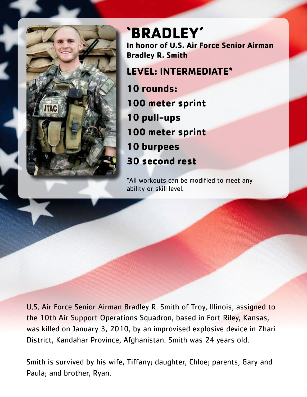

# **'BRADLEY' In honor of U.S. Air Force Senior Airman Bradley R. Smith**

# **LEVEL: INTERMEDIATE\***

**10 rounds: 100 meter sprint 10 pull-ups 100 meter sprint 10 burpees 30 second rest**

\*All workouts can be modified to meet any ability or skill level.

U.S. Air Force Senior Airman Bradley R. Smith of Troy, Illinois, assigned to the 10th Air Support Operations Squadron, based in Fort Riley, Kansas, was killed on January 3, 2010, by an improvised explosive device in Zhari District, Kandahar Province, Afghanistan. Smith was 24 years old.

Smith is survived by his wife, Tiffany; daughter, Chloe; parents, Gary and Paula; and brother, Ryan.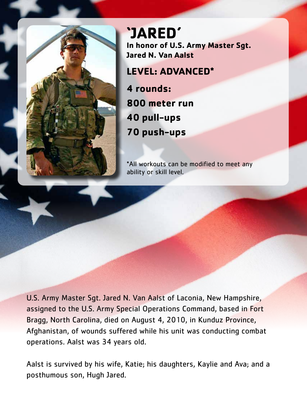

**'JARED' In honor of U.S. Army Master Sgt. Jared N. Van Aalst**

## **LEVEL: ADVANCED\***

**4 rounds: 800 meter run 40 pull-ups 70 push-ups**

\*All workouts can be modified to meet any ability or skill level.

U.S. Army Master Sgt. Jared N. Van Aalst of Laconia, New Hampshire, assigned to the U.S. Army Special Operations Command, based in Fort Bragg, North Carolina, died on August 4, 2010, in Kunduz Province, Afghanistan, of wounds suffered while his unit was conducting combat operations. Aalst was 34 years old.

Aalst is survived by his wife, Katie; his daughters, Kaylie and Ava; and a posthumous son, Hugh Jared.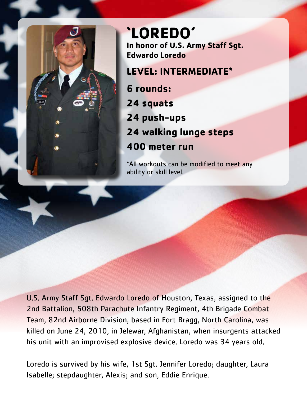

**'LOREDO' In honor of U.S. Army Staff Sgt. Edwardo Loredo**

# **LEVEL: INTERMEDIATE\***

**6 rounds: 24 squats 24 push-ups 24 walking lunge steps 400 meter run**

\*All workouts can be modified to meet any ability or skill level.

U.S. Army Staff Sgt. Edwardo Loredo of Houston, Texas, assigned to the 2nd Battalion, 508th Parachute Infantry Regiment, 4th Brigade Combat Team, 82nd Airborne Division, based in Fort Bragg, North Carolina, was killed on June 24, 2010, in Jelewar, Afghanistan, when insurgents attacked his unit with an improvised explosive device. Loredo was 34 years old.

Loredo is survived by his wife, 1st Sgt. Jennifer Loredo; daughter, Laura Isabelle; stepdaughter, Alexis; and son, Eddie Enrique.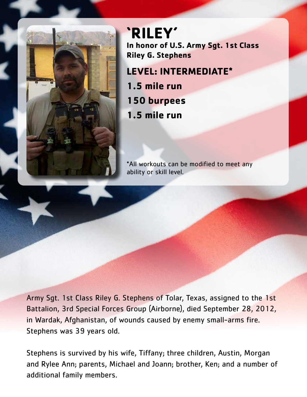

**'RILEY' In honor of U.S. Army Sgt. 1st Class Riley G. Stephens**

**LEVEL: INTERMEDIATE\* 1.5 mile run 150 burpees 1.5 mile run**

\*All workouts can be modified to meet any ability or skill level.

Army Sgt. 1st Class Riley G. Stephens of Tolar, Texas, assigned to the 1st Battalion, 3rd Special Forces Group (Airborne), died September 28, 2012, in Wardak, Afghanistan, of wounds caused by enemy small-arms fire. Stephens was 39 years old.

Stephens is survived by his wife, Tiffany; three children, Austin, Morgan and Rylee Ann; parents, Michael and Joann; brother, Ken; and a number of additional family members.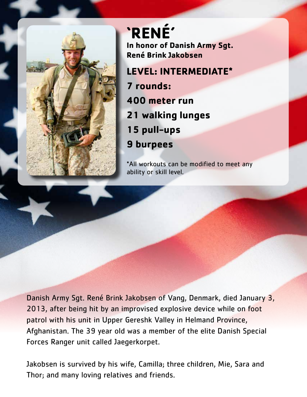

**'RENÉ' In honor of Danish Army Sgt. René Brink Jakobsen LEVEL: INTERMEDIATE\* 7 rounds:**

**400 meter run 21 walking lunges 15 pull-ups 9 burpees**

\*All workouts can be modified to meet any ability or skill level.

Danish Army Sgt. René Brink Jakobsen of Vang, Denmark, died January 3, 2013, after being hit by an improvised explosive device while on foot patrol with his unit in Upper Gereshk Valley in Helmand Province, Afghanistan. The 39 year old was a member of the elite Danish Special Forces Ranger unit called Jaegerkorpet.

Jakobsen is survived by his wife, Camilla; three children, Mie, Sara and Thor; and many loving relatives and friends.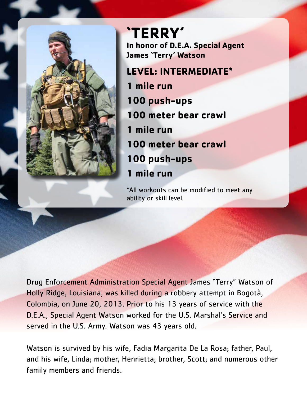

**'TERRY' In honor of D.E.A. Special Agent James 'Terry' Watson**

### **LEVEL: INTERMEDIATE\***

**1 mile run 100 push-ups 100 meter bear crawl 1 mile run 100 meter bear crawl 100 push-ups 1 mile run**

\*All workouts can be modified to meet any ability or skill level.

Drug Enforcement Administration Special Agent James "Terry" Watson of Holly Ridge, Louisiana, was killed during a robbery attempt in Bogotà, Colombia, on June 20, 2013. Prior to his 13 years of service with the D.E.A., Special Agent Watson worked for the U.S. Marshal's Service and served in the U.S. Army. Watson was 43 years old.

Watson is survived by his wife, Fadia Margarita De La Rosa; father, Paul, and his wife, Linda; mother, Henrietta; brother, Scott; and numerous other family members and friends.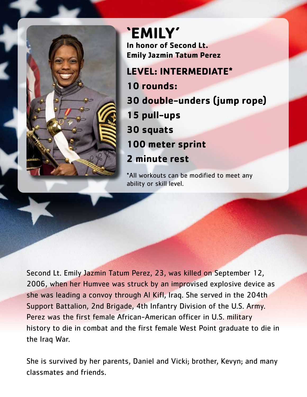

**'EMILY' In honor of Second Lt. Emily Jazmin Tatum Perez LEVEL: INTERMEDIATE\* 10 rounds: 30 double-unders (jump rope) 15 pull-ups 30 squats 100 meter sprint**

## **2 minute rest**

\*All workouts can be modified to meet any ability or skill level.

Second Lt. Emily Jazmin Tatum Perez, 23, was killed on September 12, 2006, when her Humvee was struck by an improvised explosive device as she was leading a convoy through Al Kifl, Iraq. She served in the 204th Support Battalion, 2nd Brigade, 4th Infantry Division of the U.S. Army. Perez was the first female African-American officer in U.S. military history to die in combat and the first female West Point graduate to die in the Iraq War.

She is survived by her parents, Daniel and Vicki; brother, Kevyn; and many classmates and friends.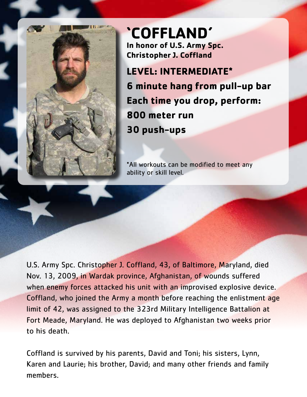

# **'COFFLAND' In honor of U.S. Army Spc. Christopher J. Coffland**

**LEVEL: INTERMEDIATE\* 6 minute hang from pull-up bar Each time you drop, perform: 800 meter run 30 push-ups**

\*All workouts can be modified to meet any ability or skill level.

U.S. Army Spc. Christopher J. Coffland, 43, of Baltimore, Maryland, died Nov. 13, 2009, in Wardak province, Afghanistan, of wounds suffered when enemy forces attacked his unit with an improvised explosive device. Coffland, who joined the Army a month before reaching the enlistment age limit of 42, was assigned to the 323rd Military Intelligence Battalion at Fort Meade, Maryland. He was deployed to Afghanistan two weeks prior to his death.

Coffland is survived by his parents, David and Toni; his sisters, Lynn, Karen and Laurie; his brother, David; and many other friends and family members.